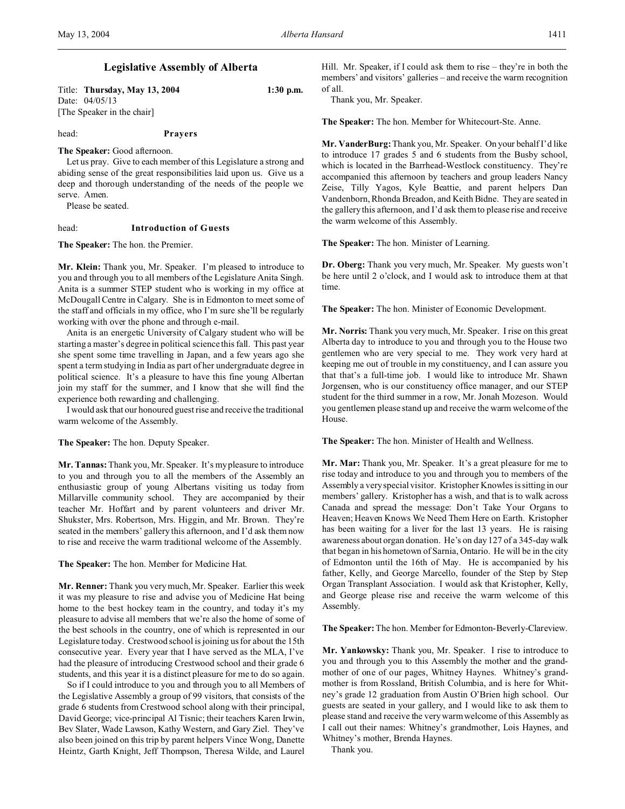# **Legislative Assembly of Alberta**

Title: **Thursday, May 13, 2004 1:30 p.m.** Date: 04/05/13 [The Speaker in the chair]

head: **Prayers**

**The Speaker:** Good afternoon.

Let us pray. Give to each member of this Legislature a strong and abiding sense of the great responsibilities laid upon us. Give us a deep and thorough understanding of the needs of the people we serve. Amen.

Please be seated.

# head: **Introduction of Guests**

**The Speaker:** The hon. the Premier.

**Mr. Klein:** Thank you, Mr. Speaker. I'm pleased to introduce to you and through you to all members of the Legislature Anita Singh. Anita is a summer STEP student who is working in my office at McDougall Centre in Calgary. She is in Edmonton to meet some of the staff and officials in my office, who I'm sure she'll be regularly working with over the phone and through e-mail.

Anita is an energetic University of Calgary student who will be starting a master's degree in political science this fall. This past year she spent some time travelling in Japan, and a few years ago she spent a term studying in India as part of her undergraduate degree in political science. It's a pleasure to have this fine young Albertan join my staff for the summer, and I know that she will find the experience both rewarding and challenging.

I would ask that our honoured guest rise and receive the traditional warm welcome of the Assembly.

## **The Speaker:** The hon. Deputy Speaker.

**Mr. Tannas:** Thank you, Mr. Speaker. It's my pleasure to introduce to you and through you to all the members of the Assembly an enthusiastic group of young Albertans visiting us today from Millarville community school. They are accompanied by their teacher Mr. Hoffart and by parent volunteers and driver Mr. Shukster, Mrs. Robertson, Mrs. Higgin, and Mr. Brown. They're seated in the members' gallery this afternoon, and I'd ask them now to rise and receive the warm traditional welcome of the Assembly.

## **The Speaker:** The hon. Member for Medicine Hat.

**Mr. Renner:** Thank you very much, Mr. Speaker. Earlier this week it was my pleasure to rise and advise you of Medicine Hat being home to the best hockey team in the country, and today it's my pleasure to advise all members that we're also the home of some of the best schools in the country, one of which is represented in our Legislature today. Crestwood school is joining us for about the 15th consecutive year. Every year that I have served as the MLA, I've had the pleasure of introducing Crestwood school and their grade 6 students, and this year it is a distinct pleasure for me to do so again.

So if I could introduce to you and through you to all Members of the Legislative Assembly a group of 99 visitors, that consists of the grade 6 students from Crestwood school along with their principal, David George; vice-principal Al Tisnic; their teachers Karen Irwin, Bev Slater, Wade Lawson, Kathy Western, and Gary Ziel. They've also been joined on this trip by parent helpers Vince Wong, Danette Heintz, Garth Knight, Jeff Thompson, Theresa Wilde, and Laurel

Hill. Mr. Speaker, if I could ask them to rise – they're in both the members' and visitors' galleries – and receive the warm recognition of all.

Thank you, Mr. Speaker.

**The Speaker:** The hon. Member for Whitecourt-Ste. Anne.

**Mr. VanderBurg:**Thank you, Mr. Speaker. On your behalf I'd like to introduce 17 grades 5 and 6 students from the Busby school, which is located in the Barrhead-Westlock constituency. They're accompanied this afternoon by teachers and group leaders Nancy Zeise, Tilly Yagos, Kyle Beattie, and parent helpers Dan Vandenborn, Rhonda Breadon, and Keith Bidne. They are seated in the gallery this afternoon, and I'd ask them to please rise and receive the warm welcome of this Assembly.

**The Speaker:** The hon. Minister of Learning.

**Dr. Oberg:** Thank you very much, Mr. Speaker. My guests won't be here until 2 o'clock, and I would ask to introduce them at that time.

**The Speaker:** The hon. Minister of Economic Development.

**Mr. Norris:** Thank you very much, Mr. Speaker. I rise on this great Alberta day to introduce to you and through you to the House two gentlemen who are very special to me. They work very hard at keeping me out of trouble in my constituency, and I can assure you that that's a full-time job. I would like to introduce Mr. Shawn Jorgensen, who is our constituency office manager, and our STEP student for the third summer in a row, Mr. Jonah Mozeson. Would you gentlemen please stand up and receive the warm welcome of the House.

**The Speaker:** The hon. Minister of Health and Wellness.

**Mr. Mar:** Thank you, Mr. Speaker. It's a great pleasure for me to rise today and introduce to you and through you to members of the Assembly a very special visitor. Kristopher Knowles is sitting in our members' gallery. Kristopher has a wish, and that is to walk across Canada and spread the message: Don't Take Your Organs to Heaven; Heaven Knows We Need Them Here on Earth. Kristopher has been waiting for a liver for the last 13 years. He is raising awareness about organ donation. He's on day 127 of a 345-day walk that began in his hometown of Sarnia, Ontario. He will be in the city of Edmonton until the 16th of May. He is accompanied by his father, Kelly, and George Marcello, founder of the Step by Step Organ Transplant Association. I would ask that Kristopher, Kelly, and George please rise and receive the warm welcome of this Assembly.

**The Speaker:**The hon. Member for Edmonton-Beverly-Clareview.

**Mr. Yankowsky:** Thank you, Mr. Speaker. I rise to introduce to you and through you to this Assembly the mother and the grandmother of one of our pages, Whitney Haynes. Whitney's grandmother is from Rossland, British Columbia, and is here for Whitney's grade 12 graduation from Austin O'Brien high school. Our guests are seated in your gallery, and I would like to ask them to please stand and receive the very warm welcome of this Assembly as I call out their names: Whitney's grandmother, Lois Haynes, and Whitney's mother, Brenda Haynes.

Thank you.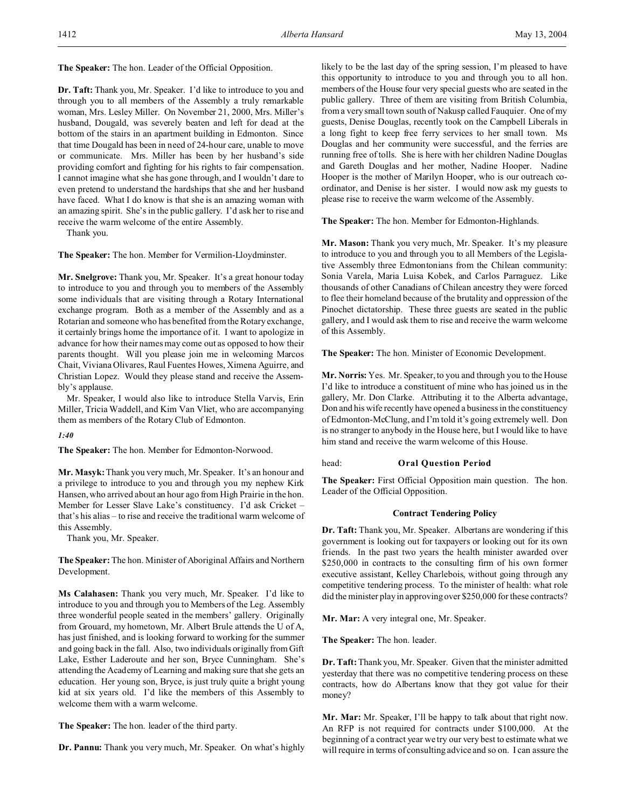**The Speaker:** The hon. Leader of the Official Opposition.

**Dr. Taft:** Thank you, Mr. Speaker. I'd like to introduce to you and through you to all members of the Assembly a truly remarkable woman, Mrs. Lesley Miller. On November 21, 2000, Mrs. Miller's husband, Dougald, was severely beaten and left for dead at the bottom of the stairs in an apartment building in Edmonton. Since that time Dougald has been in need of 24-hour care, unable to move or communicate. Mrs. Miller has been by her husband's side providing comfort and fighting for his rights to fair compensation. I cannot imagine what she has gone through, and I wouldn't dare to even pretend to understand the hardships that she and her husband have faced. What I do know is that she is an amazing woman with an amazing spirit. She's in the public gallery. I'd ask her to rise and receive the warm welcome of the entire Assembly.

Thank you.

**The Speaker:** The hon. Member for Vermilion-Lloydminster.

**Mr. Snelgrove:** Thank you, Mr. Speaker. It's a great honour today to introduce to you and through you to members of the Assembly some individuals that are visiting through a Rotary International exchange program. Both as a member of the Assembly and as a Rotarian and someone who has benefited from the Rotary exchange, it certainly brings home the importance of it. I want to apologize in advance for how their names may come out as opposed to how their parents thought. Will you please join me in welcoming Marcos Chait, Viviana Olivares, Raul Fuentes Howes, Ximena Aguirre, and Christian Lopez. Would they please stand and receive the Assembly's applause.

Mr. Speaker, I would also like to introduce Stella Varvis, Erin Miller, Tricia Waddell, and Kim Van Vliet, who are accompanying them as members of the Rotary Club of Edmonton.

#### *1:40*

**The Speaker:** The hon. Member for Edmonton-Norwood.

**Mr. Masyk:** Thank you very much, Mr. Speaker. It's an honour and a privilege to introduce to you and through you my nephew Kirk Hansen, who arrived about an hour ago from High Prairie in the hon. Member for Lesser Slave Lake's constituency. I'd ask Cricket – that's his alias – to rise and receive the traditional warm welcome of this Assembly.

Thank you, Mr. Speaker.

**The Speaker:** The hon. Minister of Aboriginal Affairs and Northern Development.

**Ms Calahasen:** Thank you very much, Mr. Speaker. I'd like to introduce to you and through you to Members of the Leg. Assembly three wonderful people seated in the members' gallery. Originally from Grouard, my hometown, Mr. Albert Brule attends the U of A, has just finished, and is looking forward to working for the summer and going back in the fall. Also, two individuals originally from Gift Lake, Esther Laderoute and her son, Bryce Cunningham. She's attending the Academy of Learning and making sure that she gets an education. Her young son, Bryce, is just truly quite a bright young kid at six years old. I'd like the members of this Assembly to welcome them with a warm welcome.

**The Speaker:** The hon. leader of the third party.

**Dr. Pannu:** Thank you very much, Mr. Speaker. On what's highly

likely to be the last day of the spring session, I'm pleased to have this opportunity to introduce to you and through you to all hon. members of the House four very special guests who are seated in the public gallery. Three of them are visiting from British Columbia, from a very small town south of Nakusp called Fauquier. One of my guests, Denise Douglas, recently took on the Campbell Liberals in a long fight to keep free ferry services to her small town. Ms Douglas and her community were successful, and the ferries are running free of tolls. She is here with her children Nadine Douglas and Gareth Douglas and her mother, Nadine Hooper. Nadine Hooper is the mother of Marilyn Hooper, who is our outreach coordinator, and Denise is her sister. I would now ask my guests to please rise to receive the warm welcome of the Assembly.

**The Speaker:** The hon. Member for Edmonton-Highlands.

**Mr. Mason:** Thank you very much, Mr. Speaker. It's my pleasure to introduce to you and through you to all Members of the Legislative Assembly three Edmontonians from the Chilean community: Sonia Varela, Maria Luisa Kobek, and Carlos Parraguez. Like thousands of other Canadians of Chilean ancestry they were forced to flee their homeland because of the brutality and oppression of the Pinochet dictatorship. These three guests are seated in the public gallery, and I would ask them to rise and receive the warm welcome of this Assembly.

**The Speaker:** The hon. Minister of Economic Development.

**Mr. Norris:** Yes. Mr. Speaker, to you and through you to the House I'd like to introduce a constituent of mine who has joined us in the gallery, Mr. Don Clarke. Attributing it to the Alberta advantage, Don and his wife recently have opened a business in the constituency of Edmonton-McClung, and I'm told it's going extremely well. Don is no stranger to anybody in the House here, but I would like to have him stand and receive the warm welcome of this House.

## head: **Oral Question Period**

**The Speaker:** First Official Opposition main question. The hon. Leader of the Official Opposition.

## **Contract Tendering Policy**

**Dr. Taft:** Thank you, Mr. Speaker. Albertans are wondering if this government is looking out for taxpayers or looking out for its own friends. In the past two years the health minister awarded over \$250,000 in contracts to the consulting firm of his own former executive assistant, Kelley Charlebois, without going through any competitive tendering process. To the minister of health: what role did the minister play in approving over \$250,000 for these contracts?

**Mr. Mar:** A very integral one, Mr. Speaker.

**The Speaker:** The hon. leader.

**Dr. Taft:** Thank you, Mr. Speaker. Given that the minister admitted yesterday that there was no competitive tendering process on these contracts, how do Albertans know that they got value for their money?

**Mr. Mar:** Mr. Speaker, I'll be happy to talk about that right now. An RFP is not required for contracts under \$100,000. At the beginning of a contract year we try our very best to estimate what we will require in terms of consulting advice and so on. I can assure the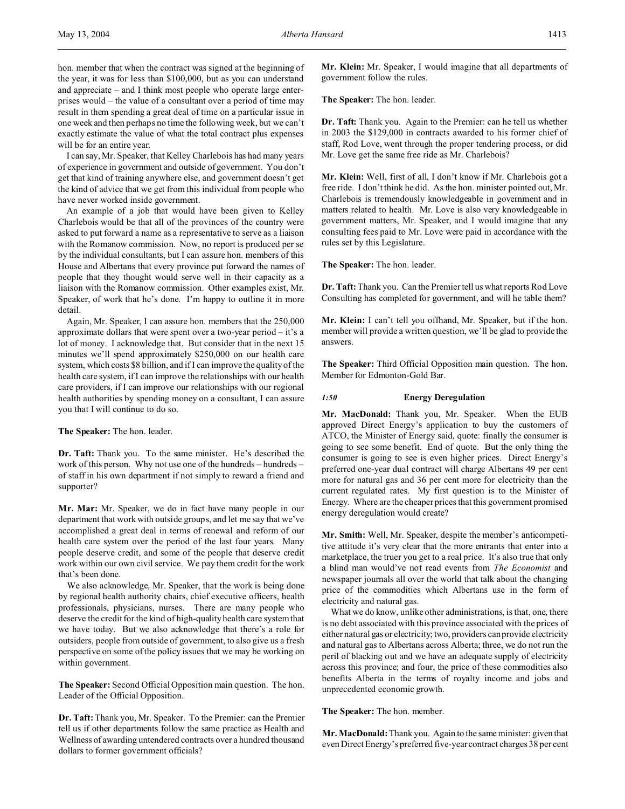hon. member that when the contract was signed at the beginning of the year, it was for less than \$100,000, but as you can understand and appreciate – and I think most people who operate large enterprises would – the value of a consultant over a period of time may result in them spending a great deal of time on a particular issue in one week and then perhaps no time the following week, but we can't exactly estimate the value of what the total contract plus expenses will be for an entire year.

I can say, Mr. Speaker, that Kelley Charlebois has had many years of experience in government and outside of government. You don't get that kind of training anywhere else, and government doesn't get the kind of advice that we get from this individual from people who have never worked inside government.

An example of a job that would have been given to Kelley Charlebois would be that all of the provinces of the country were asked to put forward a name as a representative to serve as a liaison with the Romanow commission. Now, no report is produced per se by the individual consultants, but I can assure hon. members of this House and Albertans that every province put forward the names of people that they thought would serve well in their capacity as a liaison with the Romanow commission. Other examples exist, Mr. Speaker, of work that he's done. I'm happy to outline it in more detail.

Again, Mr. Speaker, I can assure hon. members that the 250,000 approximate dollars that were spent over a two-year period – it's a lot of money. I acknowledge that. But consider that in the next 15 minutes we'll spend approximately \$250,000 on our health care system, which costs \$8 billion, and if I can improve the quality of the health care system, if I can improve the relationships with our health care providers, if I can improve our relationships with our regional health authorities by spending money on a consultant, I can assure you that I will continue to do so.

**The Speaker:** The hon. leader.

**Dr. Taft:** Thank you. To the same minister. He's described the work of this person. Why not use one of the hundreds – hundreds – of staff in his own department if not simply to reward a friend and supporter?

**Mr. Mar:** Mr. Speaker, we do in fact have many people in our department that work with outside groups, and let me say that we've accomplished a great deal in terms of renewal and reform of our health care system over the period of the last four years. Many people deserve credit, and some of the people that deserve credit work within our own civil service. We pay them credit for the work that's been done.

We also acknowledge, Mr. Speaker, that the work is being done by regional health authority chairs, chief executive officers, health professionals, physicians, nurses. There are many people who deserve the credit for the kind of high-quality health care system that we have today. But we also acknowledge that there's a role for outsiders, people from outside of government, to also give us a fresh perspective on some of the policy issues that we may be working on within government.

**The Speaker:** Second Official Opposition main question. The hon. Leader of the Official Opposition.

**Dr. Taft:** Thank you, Mr. Speaker. To the Premier: can the Premier tell us if other departments follow the same practice as Health and Wellness of awarding untendered contracts over a hundred thousand dollars to former government officials?

**Mr. Klein:** Mr. Speaker, I would imagine that all departments of government follow the rules.

**The Speaker:** The hon. leader.

**Dr. Taft:** Thank you. Again to the Premier: can he tell us whether in 2003 the \$129,000 in contracts awarded to his former chief of staff, Rod Love, went through the proper tendering process, or did Mr. Love get the same free ride as Mr. Charlebois?

**Mr. Klein:** Well, first of all, I don't know if Mr. Charlebois got a free ride. I don't think he did. As the hon. minister pointed out, Mr. Charlebois is tremendously knowledgeable in government and in matters related to health. Mr. Love is also very knowledgeable in government matters, Mr. Speaker, and I would imagine that any consulting fees paid to Mr. Love were paid in accordance with the rules set by this Legislature.

**The Speaker:** The hon. leader.

**Dr. Taft:** Thank you. Can the Premier tell us what reports Rod Love Consulting has completed for government, and will he table them?

**Mr. Klein:** I can't tell you offhand, Mr. Speaker, but if the hon. member will provide a written question, we'll be glad to provide the answers.

**The Speaker:** Third Official Opposition main question. The hon. Member for Edmonton-Gold Bar.

# *1:50* **Energy Deregulation**

**Mr. MacDonald:** Thank you, Mr. Speaker. When the EUB approved Direct Energy's application to buy the customers of ATCO, the Minister of Energy said, quote: finally the consumer is going to see some benefit. End of quote. But the only thing the consumer is going to see is even higher prices. Direct Energy's preferred one-year dual contract will charge Albertans 49 per cent more for natural gas and 36 per cent more for electricity than the current regulated rates. My first question is to the Minister of Energy. Where are the cheaper prices that this government promised energy deregulation would create?

**Mr. Smith:** Well, Mr. Speaker, despite the member's anticompetitive attitude it's very clear that the more entrants that enter into a marketplace, the truer you get to a real price. It's also true that only a blind man would've not read events from *The Economist* and newspaper journals all over the world that talk about the changing price of the commodities which Albertans use in the form of electricity and natural gas.

What we do know, unlike other administrations, is that, one, there is no debt associated with this province associated with the prices of either natural gas or electricity; two, providers can provide electricity and natural gas to Albertans across Alberta; three, we do not run the peril of blacking out and we have an adequate supply of electricity across this province; and four, the price of these commodities also benefits Alberta in the terms of royalty income and jobs and unprecedented economic growth.

**The Speaker:** The hon. member.

**Mr. MacDonald:** Thank you. Again to the same minister: given that even Direct Energy's preferred five-year contract charges 38 per cent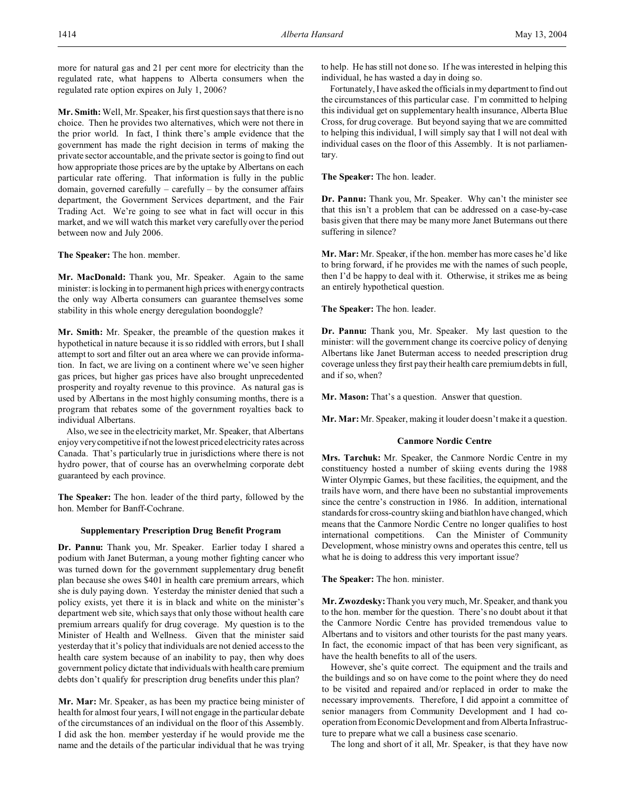more for natural gas and 21 per cent more for electricity than the regulated rate, what happens to Alberta consumers when the regulated rate option expires on July 1, 2006?

**Mr. Smith:** Well, Mr. Speaker, his first question says that there is no choice. Then he provides two alternatives, which were not there in the prior world. In fact, I think there's ample evidence that the government has made the right decision in terms of making the private sector accountable, and the private sector is going to find out how appropriate those prices are by the uptake by Albertans on each particular rate offering. That information is fully in the public domain, governed carefully – carefully – by the consumer affairs department, the Government Services department, and the Fair Trading Act. We're going to see what in fact will occur in this market, and we will watch this market very carefully over the period between now and July 2006.

**The Speaker:** The hon. member.

**Mr. MacDonald:** Thank you, Mr. Speaker. Again to the same minister: is locking in to permanent high prices with energy contracts the only way Alberta consumers can guarantee themselves some stability in this whole energy deregulation boondoggle?

**Mr. Smith:** Mr. Speaker, the preamble of the question makes it hypothetical in nature because it is so riddled with errors, but I shall attempt to sort and filter out an area where we can provide information. In fact, we are living on a continent where we've seen higher gas prices, but higher gas prices have also brought unprecedented prosperity and royalty revenue to this province. As natural gas is used by Albertans in the most highly consuming months, there is a program that rebates some of the government royalties back to individual Albertans.

Also, we see in the electricity market, Mr. Speaker, that Albertans enjoy very competitive if not the lowest priced electricity rates across Canada. That's particularly true in jurisdictions where there is not hydro power, that of course has an overwhelming corporate debt guaranteed by each province.

**The Speaker:** The hon. leader of the third party, followed by the hon. Member for Banff-Cochrane.

#### **Supplementary Prescription Drug Benefit Program**

**Dr. Pannu:** Thank you, Mr. Speaker. Earlier today I shared a podium with Janet Buterman, a young mother fighting cancer who was turned down for the government supplementary drug benefit plan because she owes \$401 in health care premium arrears, which she is duly paying down. Yesterday the minister denied that such a policy exists, yet there it is in black and white on the minister's department web site, which says that only those without health care premium arrears qualify for drug coverage. My question is to the Minister of Health and Wellness. Given that the minister said yesterday that it's policy that individuals are not denied access to the health care system because of an inability to pay, then why does government policy dictate that individuals with health care premium debts don't qualify for prescription drug benefits under this plan?

**Mr. Mar:** Mr. Speaker, as has been my practice being minister of health for almost four years, I will not engage in the particular debate of the circumstances of an individual on the floor of this Assembly. I did ask the hon. member yesterday if he would provide me the name and the details of the particular individual that he was trying

to help. He has still not done so. If he was interested in helping this individual, he has wasted a day in doing so.

Fortunately, I have asked the officials in my department to find out the circumstances of this particular case. I'm committed to helping this individual get on supplementary health insurance, Alberta Blue Cross, for drug coverage. But beyond saying that we are committed to helping this individual, I will simply say that I will not deal with individual cases on the floor of this Assembly. It is not parliamentary.

**The Speaker:** The hon. leader.

**Dr. Pannu:** Thank you, Mr. Speaker. Why can't the minister see that this isn't a problem that can be addressed on a case-by-case basis given that there may be many more Janet Butermans out there suffering in silence?

**Mr. Mar:** Mr. Speaker, if the hon. member has more cases he'd like to bring forward, if he provides me with the names of such people, then I'd be happy to deal with it. Otherwise, it strikes me as being an entirely hypothetical question.

**The Speaker:** The hon. leader.

**Dr. Pannu:** Thank you, Mr. Speaker. My last question to the minister: will the government change its coercive policy of denying Albertans like Janet Buterman access to needed prescription drug coverage unless they first pay their health care premium debts in full, and if so, when?

**Mr. Mason:** That's a question. Answer that question.

**Mr. Mar:** Mr. Speaker, making it louder doesn't make it a question.

## **Canmore Nordic Centre**

**Mrs. Tarchuk:** Mr. Speaker, the Canmore Nordic Centre in my constituency hosted a number of skiing events during the 1988 Winter Olympic Games, but these facilities, the equipment, and the trails have worn, and there have been no substantial improvements since the centre's construction in 1986. In addition, international standards for cross-country skiing and biathlon have changed, which means that the Canmore Nordic Centre no longer qualifies to host international competitions. Can the Minister of Community Development, whose ministry owns and operates this centre, tell us what he is doing to address this very important issue?

**The Speaker:** The hon. minister.

**Mr. Zwozdesky:** Thank you very much, Mr. Speaker, and thank you to the hon. member for the question. There's no doubt about it that the Canmore Nordic Centre has provided tremendous value to Albertans and to visitors and other tourists for the past many years. In fact, the economic impact of that has been very significant, as have the health benefits to all of the users.

However, she's quite correct. The equipment and the trails and the buildings and so on have come to the point where they do need to be visited and repaired and/or replaced in order to make the necessary improvements. Therefore, I did appoint a committee of senior managers from Community Development and I had cooperation from Economic Development and from Alberta Infrastructure to prepare what we call a business case scenario.

The long and short of it all, Mr. Speaker, is that they have now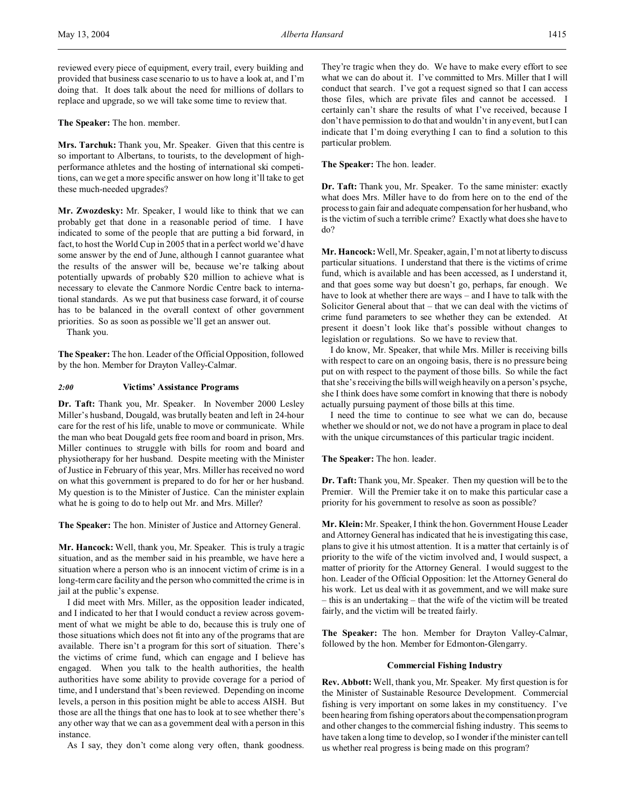**The Speaker:** The hon. member.

**Mrs. Tarchuk:** Thank you, Mr. Speaker. Given that this centre is so important to Albertans, to tourists, to the development of highperformance athletes and the hosting of international ski competitions, can we get a more specific answer on how long it'll take to get these much-needed upgrades?

**Mr. Zwozdesky:** Mr. Speaker, I would like to think that we can probably get that done in a reasonable period of time. I have indicated to some of the people that are putting a bid forward, in fact, to host the World Cup in 2005 that in a perfect world we'd have some answer by the end of June, although I cannot guarantee what the results of the answer will be, because we're talking about potentially upwards of probably \$20 million to achieve what is necessary to elevate the Canmore Nordic Centre back to international standards. As we put that business case forward, it of course has to be balanced in the overall context of other government priorities. So as soon as possible we'll get an answer out.

Thank you.

**The Speaker:** The hon. Leader of the Official Opposition, followed by the hon. Member for Drayton Valley-Calmar.

## *2:00* **Victims' Assistance Programs**

**Dr. Taft:** Thank you, Mr. Speaker. In November 2000 Lesley Miller's husband, Dougald, was brutally beaten and left in 24-hour care for the rest of his life, unable to move or communicate. While the man who beat Dougald gets free room and board in prison, Mrs. Miller continues to struggle with bills for room and board and physiotherapy for her husband. Despite meeting with the Minister of Justice in February of this year, Mrs. Miller has received no word on what this government is prepared to do for her or her husband. My question is to the Minister of Justice. Can the minister explain what he is going to do to help out Mr. and Mrs. Miller?

**The Speaker:** The hon. Minister of Justice and Attorney General.

**Mr. Hancock:** Well, thank you, Mr. Speaker. This is truly a tragic situation, and as the member said in his preamble, we have here a situation where a person who is an innocent victim of crime is in a long-term care facility and the person who committed the crime is in jail at the public's expense.

I did meet with Mrs. Miller, as the opposition leader indicated, and I indicated to her that I would conduct a review across government of what we might be able to do, because this is truly one of those situations which does not fit into any of the programs that are available. There isn't a program for this sort of situation. There's the victims of crime fund, which can engage and I believe has engaged. When you talk to the health authorities, the health authorities have some ability to provide coverage for a period of time, and I understand that's been reviewed. Depending on income levels, a person in this position might be able to access AISH. But those are all the things that one has to look at to see whether there's any other way that we can as a government deal with a person in this instance.

As I say, they don't come along very often, thank goodness.

They're tragic when they do. We have to make every effort to see what we can do about it. I've committed to Mrs. Miller that I will conduct that search. I've got a request signed so that I can access those files, which are private files and cannot be accessed. I certainly can't share the results of what I've received, because I don't have permission to do that and wouldn't in any event, but I can indicate that I'm doing everything I can to find a solution to this particular problem.

**The Speaker:** The hon. leader.

**Dr. Taft:** Thank you, Mr. Speaker. To the same minister: exactly what does Mrs. Miller have to do from here on to the end of the process to gain fair and adequate compensation for her husband, who is the victim of such a terrible crime? Exactly what does she have to do?

**Mr. Hancock:** Well, Mr. Speaker, again, I'm not at liberty to discuss particular situations. I understand that there is the victims of crime fund, which is available and has been accessed, as I understand it, and that goes some way but doesn't go, perhaps, far enough. We have to look at whether there are ways – and I have to talk with the Solicitor General about that – that we can deal with the victims of crime fund parameters to see whether they can be extended. At present it doesn't look like that's possible without changes to legislation or regulations. So we have to review that.

I do know, Mr. Speaker, that while Mrs. Miller is receiving bills with respect to care on an ongoing basis, there is no pressure being put on with respect to the payment of those bills. So while the fact that she's receiving the bills will weigh heavily on a person's psyche, she I think does have some comfort in knowing that there is nobody actually pursuing payment of those bills at this time.

I need the time to continue to see what we can do, because whether we should or not, we do not have a program in place to deal with the unique circumstances of this particular tragic incident.

**The Speaker:** The hon. leader.

**Dr. Taft:** Thank you, Mr. Speaker. Then my question will be to the Premier. Will the Premier take it on to make this particular case a priority for his government to resolve as soon as possible?

**Mr. Klein:** Mr. Speaker, I think the hon. Government House Leader and Attorney General has indicated that he is investigating this case, plans to give it his utmost attention. It is a matter that certainly is of priority to the wife of the victim involved and, I would suspect, a matter of priority for the Attorney General. I would suggest to the hon. Leader of the Official Opposition: let the Attorney General do his work. Let us deal with it as government, and we will make sure – this is an undertaking – that the wife of the victim will be treated fairly, and the victim will be treated fairly.

**The Speaker:** The hon. Member for Drayton Valley-Calmar, followed by the hon. Member for Edmonton-Glengarry.

## **Commercial Fishing Industry**

**Rev. Abbott:** Well, thank you, Mr. Speaker. My first question is for the Minister of Sustainable Resource Development. Commercial fishing is very important on some lakes in my constituency. I've been hearing from fishing operators about the compensation program and other changes to the commercial fishing industry. This seems to have taken a long time to develop, so I wonder if the minister can tell us whether real progress is being made on this program?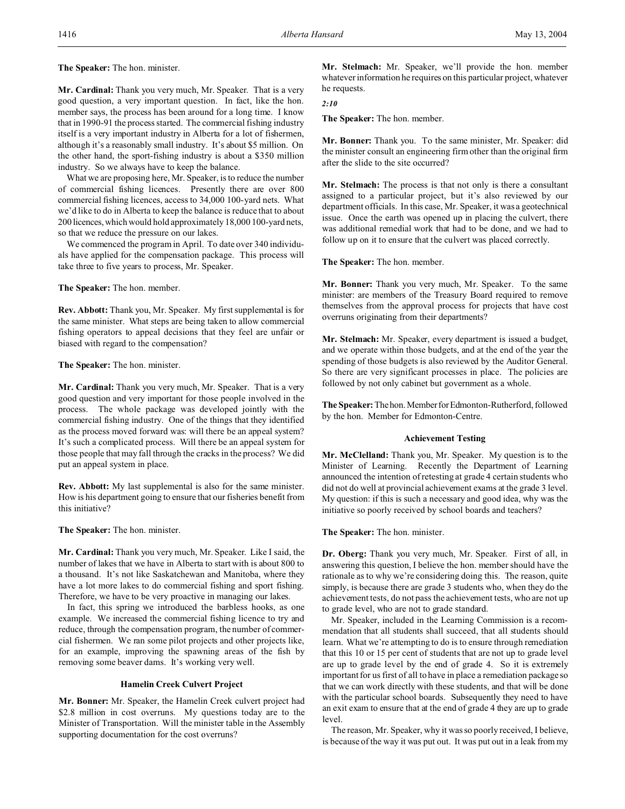**The Speaker:** The hon. minister.

**Mr. Cardinal:** Thank you very much, Mr. Speaker. That is a very good question, a very important question. In fact, like the hon. member says, the process has been around for a long time. I know that in 1990-91 the process started. The commercial fishing industry itself is a very important industry in Alberta for a lot of fishermen, although it's a reasonably small industry. It's about \$5 million. On the other hand, the sport-fishing industry is about a \$350 million industry. So we always have to keep the balance.

What we are proposing here, Mr. Speaker, is to reduce the number of commercial fishing licences. Presently there are over 800 commercial fishing licences, access to 34,000 100-yard nets. What we'd like to do in Alberta to keep the balance is reduce that to about 200 licences,which would hold approximately 18,000 100-yard nets, so that we reduce the pressure on our lakes.

We commenced the program in April. To date over 340 individuals have applied for the compensation package. This process will take three to five years to process, Mr. Speaker.

**The Speaker:** The hon. member.

**Rev. Abbott:** Thank you, Mr. Speaker. My first supplemental is for the same minister. What steps are being taken to allow commercial fishing operators to appeal decisions that they feel are unfair or biased with regard to the compensation?

**The Speaker:** The hon. minister.

**Mr. Cardinal:** Thank you very much, Mr. Speaker. That is a very good question and very important for those people involved in the process. The whole package was developed jointly with the commercial fishing industry. One of the things that they identified as the process moved forward was: will there be an appeal system? It's such a complicated process. Will there be an appeal system for those people that may fall through the cracks in the process? We did put an appeal system in place.

**Rev. Abbott:** My last supplemental is also for the same minister. How is his department going to ensure that our fisheries benefit from this initiative?

**The Speaker:** The hon. minister.

**Mr. Cardinal:** Thank you very much, Mr. Speaker. Like I said, the number of lakes that we have in Alberta to start with is about 800 to a thousand. It's not like Saskatchewan and Manitoba, where they have a lot more lakes to do commercial fishing and sport fishing. Therefore, we have to be very proactive in managing our lakes.

In fact, this spring we introduced the barbless hooks, as one example. We increased the commercial fishing licence to try and reduce, through the compensation program, the number of commercial fishermen. We ran some pilot projects and other projects like, for an example, improving the spawning areas of the fish by removing some beaver dams. It's working very well.

## **Hamelin Creek Culvert Project**

**Mr. Bonner:** Mr. Speaker, the Hamelin Creek culvert project had \$2.8 million in cost overruns. My questions today are to the Minister of Transportation. Will the minister table in the Assembly supporting documentation for the cost overruns?

**Mr. Stelmach:** Mr. Speaker, we'll provide the hon. member whatever information he requires on this particular project, whatever he requests.

*2:10*

**The Speaker:** The hon. member.

**Mr. Bonner:** Thank you. To the same minister, Mr. Speaker: did the minister consult an engineering firm other than the original firm after the slide to the site occurred?

**Mr. Stelmach:** The process is that not only is there a consultant assigned to a particular project, but it's also reviewed by our department officials. In this case, Mr. Speaker, it was a geotechnical issue. Once the earth was opened up in placing the culvert, there was additional remedial work that had to be done, and we had to follow up on it to ensure that the culvert was placed correctly.

**The Speaker:** The hon. member.

**Mr. Bonner:** Thank you very much, Mr. Speaker. To the same minister: are members of the Treasury Board required to remove themselves from the approval process for projects that have cost overruns originating from their departments?

**Mr. Stelmach:** Mr. Speaker, every department is issued a budget, and we operate within those budgets, and at the end of the year the spending of those budgets is also reviewed by the Auditor General. So there are very significant processes in place. The policies are followed by not only cabinet but government as a whole.

The Speaker: The hon. Member for Edmonton-Rutherford, followed by the hon. Member for Edmonton-Centre.

# **Achievement Testing**

**Mr. McClelland:** Thank you, Mr. Speaker. My question is to the Minister of Learning. Recently the Department of Learning announced the intention of retesting at grade 4 certain students who did not do well at provincial achievement exams at the grade 3 level. My question: if this is such a necessary and good idea, why was the initiative so poorly received by school boards and teachers?

**The Speaker:** The hon. minister.

**Dr. Oberg:** Thank you very much, Mr. Speaker. First of all, in answering this question, I believe the hon. member should have the rationale as to why we're considering doing this. The reason, quite simply, is because there are grade 3 students who, when they do the achievement tests, do not pass the achievement tests, who are not up to grade level, who are not to grade standard.

Mr. Speaker, included in the Learning Commission is a recommendation that all students shall succeed, that all students should learn. What we're attempting to do is to ensure through remediation that this 10 or 15 per cent of students that are not up to grade level are up to grade level by the end of grade 4. So it is extremely important for us first of all to have in place a remediation package so that we can work directly with these students, and that will be done with the particular school boards. Subsequently they need to have an exit exam to ensure that at the end of grade 4 they are up to grade level.

The reason, Mr. Speaker, why it was so poorly received, I believe, is because of the way it was put out. It was put out in a leak from my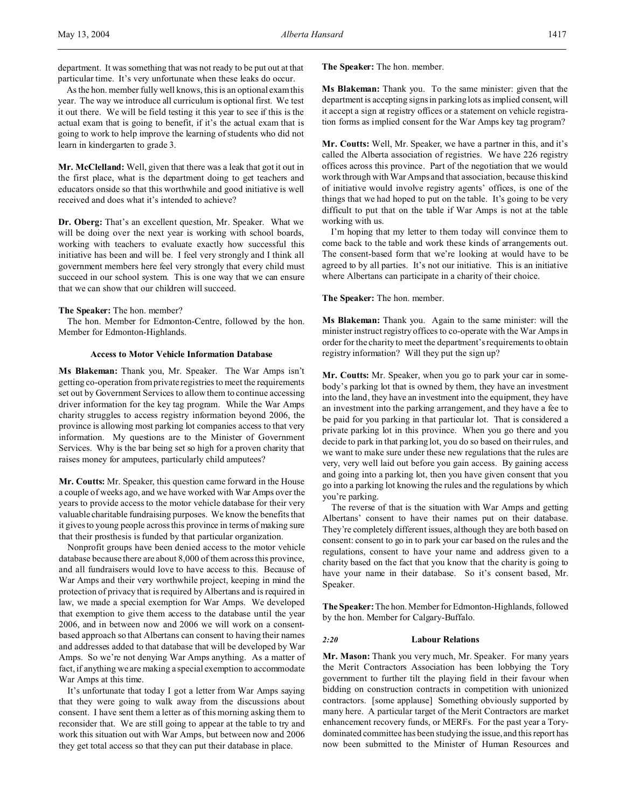department. It was something that was not ready to be put out at that particular time. It's very unfortunate when these leaks do occur.

As the hon. member fully well knows, this is an optional exam this year. The way we introduce all curriculum is optional first. We test it out there. We will be field testing it this year to see if this is the actual exam that is going to benefit, if it's the actual exam that is going to work to help improve the learning of students who did not learn in kindergarten to grade 3.

**Mr. McClelland:** Well, given that there was a leak that got it out in the first place, what is the department doing to get teachers and educators onside so that this worthwhile and good initiative is well received and does what it's intended to achieve?

**Dr. Oberg:** That's an excellent question, Mr. Speaker. What we will be doing over the next year is working with school boards, working with teachers to evaluate exactly how successful this initiative has been and will be. I feel very strongly and I think all government members here feel very strongly that every child must succeed in our school system. This is one way that we can ensure that we can show that our children will succeed.

#### **The Speaker:** The hon. member?

The hon. Member for Edmonton-Centre, followed by the hon. Member for Edmonton-Highlands.

# **Access to Motor Vehicle Information Database**

**Ms Blakeman:** Thank you, Mr. Speaker. The War Amps isn't getting co-operation from private registries to meet the requirements set out by Government Services to allow them to continue accessing driver information for the key tag program. While the War Amps charity struggles to access registry information beyond 2006, the province is allowing most parking lot companies access to that very information. My questions are to the Minister of Government Services. Why is the bar being set so high for a proven charity that raises money for amputees, particularly child amputees?

**Mr. Coutts:** Mr. Speaker, this question came forward in the House a couple of weeks ago, and we have worked with War Amps over the years to provide access to the motor vehicle database for their very valuable charitable fundraising purposes. We know the benefits that it gives to young people across this province in terms of making sure that their prosthesis is funded by that particular organization.

Nonprofit groups have been denied access to the motor vehicle database because there are about 8,000 of them across this province, and all fundraisers would love to have access to this. Because of War Amps and their very worthwhile project, keeping in mind the protection of privacy that is required by Albertans and is required in law, we made a special exemption for War Amps. We developed that exemption to give them access to the database until the year 2006, and in between now and 2006 we will work on a consentbased approach so that Albertans can consent to having their names and addresses added to that database that will be developed by War Amps. So we're not denying War Amps anything. As a matter of fact, if anything we are making a special exemption to accommodate War Amps at this time.

It's unfortunate that today I got a letter from War Amps saying that they were going to walk away from the discussions about consent. I have sent them a letter as of this morning asking them to reconsider that. We are still going to appear at the table to try and work this situation out with War Amps, but between now and 2006 they get total access so that they can put their database in place.

**The Speaker:** The hon. member.

**Ms Blakeman:** Thank you. To the same minister: given that the department is accepting signs in parking lots as implied consent, will it accept a sign at registry offices or a statement on vehicle registration forms as implied consent for the War Amps key tag program?

**Mr. Coutts:** Well, Mr. Speaker, we have a partner in this, and it's called the Alberta association of registries. We have 226 registry offices across this province. Part of the negotiation that we would work through with War Amps and that association, because this kind of initiative would involve registry agents' offices, is one of the things that we had hoped to put on the table. It's going to be very difficult to put that on the table if War Amps is not at the table working with us.

I'm hoping that my letter to them today will convince them to come back to the table and work these kinds of arrangements out. The consent-based form that we're looking at would have to be agreed to by all parties. It's not our initiative. This is an initiative where Albertans can participate in a charity of their choice.

## **The Speaker:** The hon. member.

**Ms Blakeman:** Thank you. Again to the same minister: will the minister instruct registry offices to co-operate with the War Amps in order for the charity to meet the department's requirements to obtain registry information? Will they put the sign up?

**Mr. Coutts:** Mr. Speaker, when you go to park your car in somebody's parking lot that is owned by them, they have an investment into the land, they have an investment into the equipment, they have an investment into the parking arrangement, and they have a fee to be paid for you parking in that particular lot. That is considered a private parking lot in this province. When you go there and you decide to park in that parking lot, you do so based on their rules, and we want to make sure under these new regulations that the rules are very, very well laid out before you gain access. By gaining access and going into a parking lot, then you have given consent that you go into a parking lot knowing the rules and the regulations by which you're parking.

The reverse of that is the situation with War Amps and getting Albertans' consent to have their names put on their database. They're completely different issues, although they are both based on consent: consent to go in to park your car based on the rules and the regulations, consent to have your name and address given to a charity based on the fact that you know that the charity is going to have your name in their database. So it's consent based, Mr. Speaker.

**The Speaker:** The hon. Member for Edmonton-Highlands, followed by the hon. Member for Calgary-Buffalo.

## *2:20* **Labour Relations**

**Mr. Mason:** Thank you very much, Mr. Speaker. For many years the Merit Contractors Association has been lobbying the Tory government to further tilt the playing field in their favour when bidding on construction contracts in competition with unionized contractors. [some applause] Something obviously supported by many here. A particular target of the Merit Contractors are market enhancement recovery funds, or MERFs. For the past year a Torydominated committee has been studying the issue, and this report has now been submitted to the Minister of Human Resources and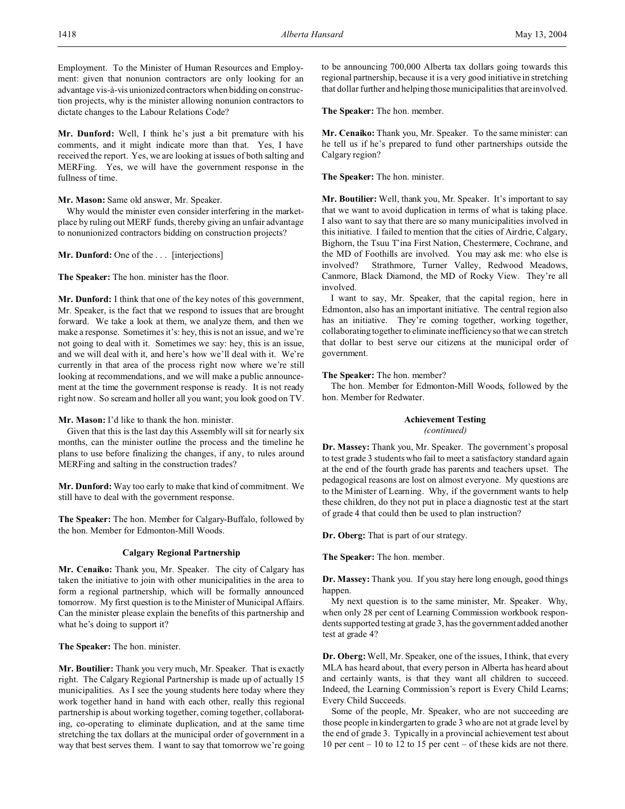Employment. To the Minister of Human Resources and Employment: given that nonunion contractors are only looking for an advantage vis-à-vis unionized contractors when bidding on construction projects, why is the minister allowing nonunion contractors to dictate changes to the Labour Relations Code?

**Mr. Dunford:** Well, I think he's just a bit premature with his comments, and it might indicate more than that. Yes, I have received the report. Yes, we are looking at issues of both salting and MERFing. Yes, we will have the government response in the fullness of time.

## **Mr. Mason:** Same old answer, Mr. Speaker.

Why would the minister even consider interfering in the marketplace by ruling out MERF funds, thereby giving an unfair advantage to nonunionized contractors bidding on construction projects?

**Mr. Dunford:** One of the ... [interjections]

**The Speaker:** The hon. minister has the floor.

**Mr. Dunford:** I think that one of the key notes of this government, Mr. Speaker, is the fact that we respond to issues that are brought forward. We take a look at them, we analyze them, and then we make a response. Sometimes it's: hey, this is not an issue, and we're not going to deal with it. Sometimes we say: hey, this is an issue, and we will deal with it, and here's how we'll deal with it. We're currently in that area of the process right now where we're still looking at recommendations, and we will make a public announcement at the time the government response is ready. It is not ready right now. So scream and holler all you want; you look good on TV.

# **Mr. Mason:** I'd like to thank the hon. minister.

Given that this is the last day this Assembly will sit for nearly six months, can the minister outline the process and the timeline he plans to use before finalizing the changes, if any, to rules around MERFing and salting in the construction trades?

**Mr. Dunford:** Way too early to make that kind of commitment. We still have to deal with the government response.

**The Speaker:** The hon. Member for Calgary-Buffalo, followed by the hon. Member for Edmonton-Mill Woods.

## **Calgary Regional Partnership**

**Mr. Cenaiko:** Thank you, Mr. Speaker. The city of Calgary has taken the initiative to join with other municipalities in the area to form a regional partnership, which will be formally announced tomorrow. My first question is to the Minister of Municipal Affairs. Can the minister please explain the benefits of this partnership and what he's doing to support it?

**The Speaker:** The hon. minister.

**Mr. Boutilier:** Thank you very much, Mr. Speaker. That is exactly right. The Calgary Regional Partnership is made up of actually 15 municipalities. As I see the young students here today where they work together hand in hand with each other, really this regional partnership is about working together, coming together, collaborating, co-operating to eliminate duplication, and at the same time stretching the tax dollars at the municipal order of government in a way that best serves them. I want to say that tomorrow we're going

to be announcing 700,000 Alberta tax dollars going towards this regional partnership, because it is a very good initiative in stretching that dollar further and helping those municipalities that are involved.

**The Speaker:** The hon. member.

**Mr. Cenaiko:** Thank you, Mr. Speaker. To the same minister: can he tell us if he's prepared to fund other partnerships outside the Calgary region?

**The Speaker:** The hon. minister.

**Mr. Boutilier:** Well, thank you, Mr. Speaker. It's important to say that we want to avoid duplication in terms of what is taking place. I also want to say that there are so many municipalities involved in this initiative. I failed to mention that the cities of Airdrie, Calgary, Bighorn, the Tsuu T'ina First Nation, Chestermere, Cochrane, and the MD of Foothills are involved. You may ask me: who else is involved? Strathmore, Turner Valley, Redwood Meadows, Canmore, Black Diamond, the MD of Rocky View. They're all involved.

I want to say, Mr. Speaker, that the capital region, here in Edmonton, also has an important initiative. The central region also has an initiative. They're coming together, working together, collaborating together to eliminate inefficiency so that we can stretch that dollar to best serve our citizens at the municipal order of government.

## **The Speaker:** The hon. member?

The hon. Member for Edmonton-Mill Woods, followed by the hon. Member for Redwater.

# **Achievement Testing**

*(continued)*

**Dr. Massey:** Thank you, Mr. Speaker. The government's proposal to test grade 3 students who fail to meet a satisfactory standard again at the end of the fourth grade has parents and teachers upset. The pedagogical reasons are lost on almost everyone. My questions are to the Minister of Learning. Why, if the government wants to help these children, do they not put in place a diagnostic test at the start of grade 4 that could then be used to plan instruction?

**Dr. Oberg:** That is part of our strategy.

**The Speaker:** The hon. member.

**Dr. Massey:** Thank you. If you stay here long enough, good things happen.

My next question is to the same minister, Mr. Speaker. Why, when only 28 per cent of Learning Commission workbook respondents supported testing at grade 3, has the government added another test at grade 4?

**Dr. Oberg:** Well, Mr. Speaker, one of the issues, I think, that every MLA has heard about, that every person in Alberta has heard about and certainly wants, is that they want all children to succeed. Indeed, the Learning Commission's report is Every Child Learns; Every Child Succeeds.

Some of the people, Mr. Speaker, who are not succeeding are those people in kindergarten to grade 3 who are not at grade level by the end of grade 3. Typically in a provincial achievement test about 10 per cent – 10 to 12 to 15 per cent – of these kids are not there.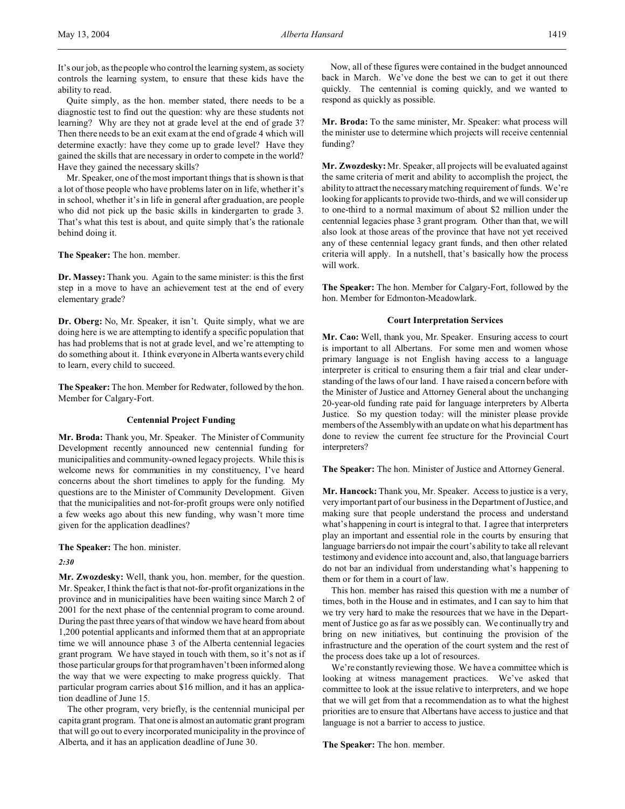It's our job, as the people who control the learning system, as society controls the learning system, to ensure that these kids have the ability to read.

Quite simply, as the hon. member stated, there needs to be a diagnostic test to find out the question: why are these students not learning? Why are they not at grade level at the end of grade 3? Then there needs to be an exit exam at the end of grade 4 which will determine exactly: have they come up to grade level? Have they gained the skills that are necessary in order to compete in the world? Have they gained the necessary skills?

Mr. Speaker, one of the most important things that is shown is that a lot of those people who have problems later on in life, whether it's in school, whether it's in life in general after graduation, are people who did not pick up the basic skills in kindergarten to grade 3. That's what this test is about, and quite simply that's the rationale behind doing it.

**The Speaker:** The hon. member.

**Dr. Massey:** Thank you. Again to the same minister: is this the first step in a move to have an achievement test at the end of every elementary grade?

**Dr. Oberg:** No, Mr. Speaker, it isn't. Quite simply, what we are doing here is we are attempting to identify a specific population that has had problems that is not at grade level, and we're attempting to do something about it. I think everyone in Alberta wants every child to learn, every child to succeed.

**The Speaker:** The hon. Member for Redwater, followed by the hon. Member for Calgary-Fort.

# **Centennial Project Funding**

**Mr. Broda:** Thank you, Mr. Speaker. The Minister of Community Development recently announced new centennial funding for municipalities and community-owned legacy projects. While this is welcome news for communities in my constituency, I've heard concerns about the short timelines to apply for the funding. My questions are to the Minister of Community Development. Given that the municipalities and not-for-profit groups were only notified a few weeks ago about this new funding, why wasn't more time given for the application deadlines?

**The Speaker:** The hon. minister.

*2:30*

**Mr. Zwozdesky:** Well, thank you, hon. member, for the question. Mr. Speaker, I think the fact is that not-for-profit organizations in the province and in municipalities have been waiting since March 2 of 2001 for the next phase of the centennial program to come around. During the past three years of that window we have heard from about 1,200 potential applicants and informed them that at an appropriate time we will announce phase 3 of the Alberta centennial legacies grant program. We have stayed in touch with them, so it's not as if those particular groups for that program haven't been informed along the way that we were expecting to make progress quickly. That particular program carries about \$16 million, and it has an application deadline of June 15.

The other program, very briefly, is the centennial municipal per capita grant program. That one is almost an automatic grant program that will go out to every incorporated municipality in the province of Alberta, and it has an application deadline of June 30.

Now, all of these figures were contained in the budget announced back in March. We've done the best we can to get it out there quickly. The centennial is coming quickly, and we wanted to respond as quickly as possible.

**Mr. Broda:** To the same minister, Mr. Speaker: what process will the minister use to determine which projects will receive centennial funding?

**Mr. Zwozdesky:** Mr. Speaker, all projects will be evaluated against the same criteria of merit and ability to accomplish the project, the ability to attract the necessary matching requirement of funds. We're looking for applicants to provide two-thirds, and we will consider up to one-third to a normal maximum of about \$2 million under the centennial legacies phase 3 grant program. Other than that, we will also look at those areas of the province that have not yet received any of these centennial legacy grant funds, and then other related criteria will apply. In a nutshell, that's basically how the process will work.

**The Speaker:** The hon. Member for Calgary-Fort, followed by the hon. Member for Edmonton-Meadowlark.

## **Court Interpretation Services**

**Mr. Cao:** Well, thank you, Mr. Speaker. Ensuring access to court is important to all Albertans. For some men and women whose primary language is not English having access to a language interpreter is critical to ensuring them a fair trial and clear understanding of the laws of our land. I have raised a concern before with the Minister of Justice and Attorney General about the unchanging 20-year-old funding rate paid for language interpreters by Alberta Justice. So my question today: will the minister please provide members of the Assembly with an update on what his department has done to review the current fee structure for the Provincial Court interpreters?

**The Speaker:** The hon. Minister of Justice and Attorney General.

**Mr. Hancock:** Thank you, Mr. Speaker. Access to justice is a very, very important part of our business in the Department of Justice, and making sure that people understand the process and understand what's happening in court is integral to that. I agree that interpreters play an important and essential role in the courts by ensuring that language barriers do not impair the court's ability to take all relevant testimony and evidence into account and, also, that language barriers do not bar an individual from understanding what's happening to them or for them in a court of law.

This hon. member has raised this question with me a number of times, both in the House and in estimates, and I can say to him that we try very hard to make the resources that we have in the Department of Justice go as far as we possibly can. We continually try and bring on new initiatives, but continuing the provision of the infrastructure and the operation of the court system and the rest of the process does take up a lot of resources.

We're constantly reviewing those. We have a committee which is looking at witness management practices. We've asked that committee to look at the issue relative to interpreters, and we hope that we will get from that a recommendation as to what the highest priorities are to ensure that Albertans have access to justice and that language is not a barrier to access to justice.

**The Speaker:** The hon. member.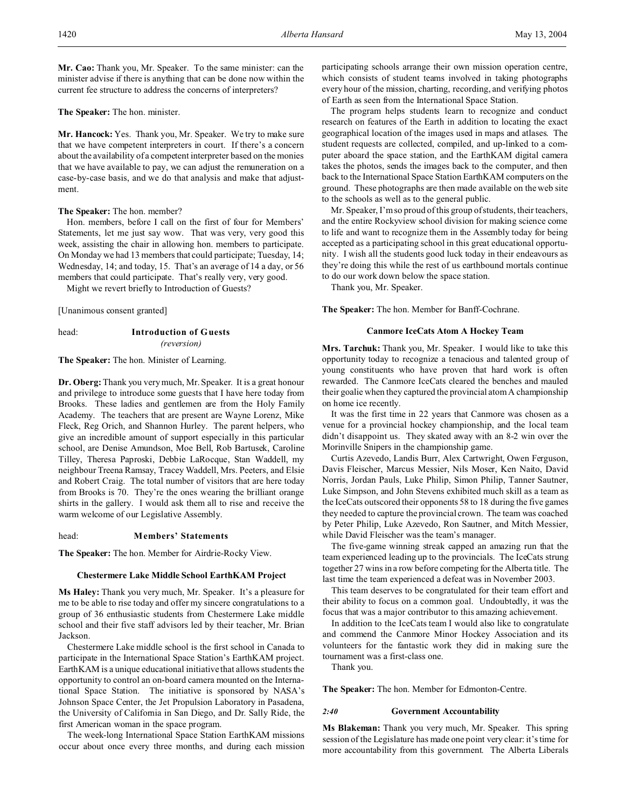**Mr. Cao:** Thank you, Mr. Speaker. To the same minister: can the minister advise if there is anything that can be done now within the current fee structure to address the concerns of interpreters?

**The Speaker:** The hon. minister.

**Mr. Hancock:** Yes. Thank you, Mr. Speaker. We try to make sure that we have competent interpreters in court. If there's a concern about the availability of a competent interpreter based on the monies that we have available to pay, we can adjust the remuneration on a case-by-case basis, and we do that analysis and make that adjustment.

## **The Speaker:** The hon. member?

Hon. members, before I call on the first of four for Members' Statements, let me just say wow. That was very, very good this week, assisting the chair in allowing hon. members to participate. On Monday we had 13 members that could participate; Tuesday, 14; Wednesday, 14; and today, 15. That's an average of 14 a day, or 56 members that could participate. That's really very, very good. Might we revert briefly to Introduction of Guests?

[Unanimous consent granted]

head: **Introduction of Guests** *(reversion)*

**The Speaker:** The hon. Minister of Learning.

**Dr. Oberg:**Thank you very much, Mr. Speaker. It is a great honour and privilege to introduce some guests that I have here today from Brooks. These ladies and gentlemen are from the Holy Family Academy. The teachers that are present are Wayne Lorenz, Mike Fleck, Reg Orich, and Shannon Hurley. The parent helpers, who give an incredible amount of support especially in this particular school, are Denise Amundson, Moe Bell, Rob Bartusek, Caroline Tilley, Theresa Paproski, Debbie LaRocque, Stan Waddell, my neighbour Treena Ramsay, Tracey Waddell, Mrs. Peeters, and Elsie and Robert Craig. The total number of visitors that are here today from Brooks is 70. They're the ones wearing the brilliant orange shirts in the gallery. I would ask them all to rise and receive the warm welcome of our Legislative Assembly.

## head: **Members' Statements**

**The Speaker:** The hon. Member for Airdrie-Rocky View.

#### **Chestermere Lake Middle School EarthKAM Project**

**Ms Haley:** Thank you very much, Mr. Speaker. It's a pleasure for me to be able to rise today and offer my sincere congratulations to a group of 36 enthusiastic students from Chestermere Lake middle school and their five staff advisors led by their teacher, Mr. Brian Jackson.

Chestermere Lake middle school is the first school in Canada to participate in the International Space Station's EarthKAM project. EarthKAM is a unique educational initiative that allows students the opportunity to control an on-board camera mounted on the International Space Station. The initiative is sponsored by NASA's Johnson Space Center, the Jet Propulsion Laboratory in Pasadena, the University of California in San Diego, and Dr. Sally Ride, the first American woman in the space program.

The week-long International Space Station EarthKAM missions occur about once every three months, and during each mission participating schools arrange their own mission operation centre, which consists of student teams involved in taking photographs every hour of the mission, charting, recording, and verifying photos of Earth as seen from the International Space Station.

The program helps students learn to recognize and conduct research on features of the Earth in addition to locating the exact geographical location of the images used in maps and atlases. The student requests are collected, compiled, and up-linked to a computer aboard the space station, and the EarthKAM digital camera takes the photos, sends the images back to the computer, and then back to the International Space Station EarthKAM computers on the ground. These photographs are then made available on the web site to the schools as well as to the general public.

Mr. Speaker, I'm so proud of this group of students, their teachers, and the entire Rockyview school division for making science come to life and want to recognize them in the Assembly today for being accepted as a participating school in this great educational opportunity. I wish all the students good luck today in their endeavours as they're doing this while the rest of us earthbound mortals continue to do our work down below the space station.

Thank you, Mr. Speaker.

**The Speaker:** The hon. Member for Banff-Cochrane.

## **Canmore IceCats Atom A Hockey Team**

**Mrs. Tarchuk:** Thank you, Mr. Speaker. I would like to take this opportunity today to recognize a tenacious and talented group of young constituents who have proven that hard work is often rewarded. The Canmore IceCats cleared the benches and mauled their goalie when they captured the provincial atom A championship on home ice recently.

It was the first time in 22 years that Canmore was chosen as a venue for a provincial hockey championship, and the local team didn't disappoint us. They skated away with an 8-2 win over the Morinville Snipers in the championship game.

Curtis Azevedo, Landis Burr, Alex Cartwright, Owen Ferguson, Davis Fleischer, Marcus Messier, Nils Moser, Ken Naito, David Norris, Jordan Pauls, Luke Philip, Simon Philip, Tanner Sautner, Luke Simpson, and John Stevens exhibited much skill as a team as the IceCats outscored their opponents 58 to 18 during the five games they needed to capture the provincial crown. The team was coached by Peter Philip, Luke Azevedo, Ron Sautner, and Mitch Messier, while David Fleischer was the team's manager.

The five-game winning streak capped an amazing run that the team experienced leading up to the provincials. The IceCats strung together 27 wins in a row before competing for the Alberta title. The last time the team experienced a defeat was in November 2003.

This team deserves to be congratulated for their team effort and their ability to focus on a common goal. Undoubtedly, it was the focus that was a major contributor to this amazing achievement.

In addition to the IceCats team I would also like to congratulate and commend the Canmore Minor Hockey Association and its volunteers for the fantastic work they did in making sure the tournament was a first-class one.

Thank you.

**The Speaker:** The hon. Member for Edmonton-Centre.

#### *2:40* **Government Accountability**

**Ms Blakeman:** Thank you very much, Mr. Speaker. This spring session of the Legislature has made one point very clear: it's time for more accountability from this government. The Alberta Liberals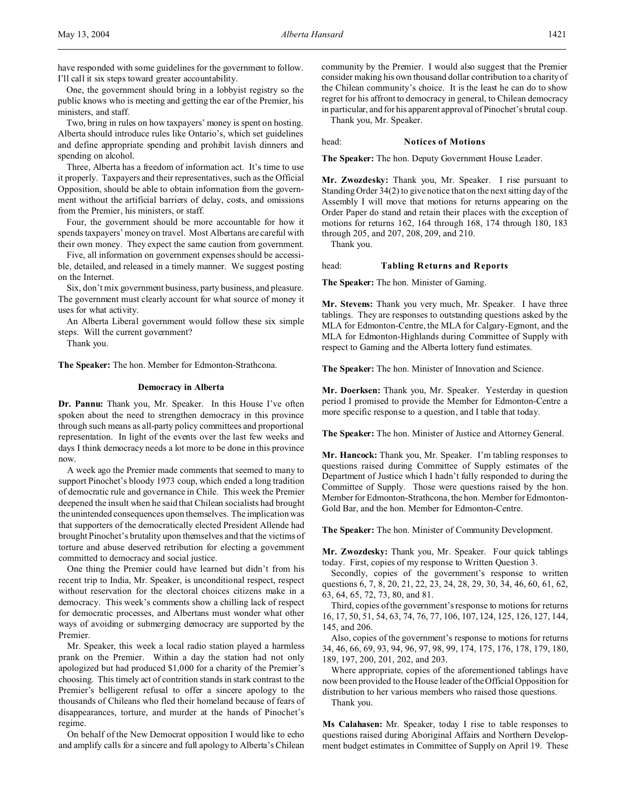One, the government should bring in a lobbyist registry so the public knows who is meeting and getting the ear of the Premier, his ministers, and staff.

Two, bring in rules on how taxpayers' money is spent on hosting. Alberta should introduce rules like Ontario's, which set guidelines and define appropriate spending and prohibit lavish dinners and spending on alcohol.

Three, Alberta has a freedom of information act. It's time to use it properly. Taxpayers and their representatives, such as the Official Opposition, should be able to obtain information from the government without the artificial barriers of delay, costs, and omissions from the Premier, his ministers, or staff.

Four, the government should be more accountable for how it spends taxpayers' money on travel. Most Albertans are careful with their own money. They expect the same caution from government.

Five, all information on government expenses should be accessible, detailed, and released in a timely manner. We suggest posting on the Internet.

Six, don't mix government business, party business, and pleasure. The government must clearly account for what source of money it uses for what activity.

An Alberta Liberal government would follow these six simple steps. Will the current government?

Thank you.

**The Speaker:** The hon. Member for Edmonton-Strathcona.

## **Democracy in Alberta**

**Dr. Pannu:** Thank you, Mr. Speaker. In this House I've often spoken about the need to strengthen democracy in this province through such means as all-party policy committees and proportional representation. In light of the events over the last few weeks and days I think democracy needs a lot more to be done in this province now.

A week ago the Premier made comments that seemed to many to support Pinochet's bloody 1973 coup, which ended a long tradition of democratic rule and governance in Chile. This week the Premier deepened the insult when he said that Chilean socialists had brought the unintended consequences upon themselves. The implication was that supporters of the democratically elected President Allende had brought Pinochet's brutality upon themselves and that the victims of torture and abuse deserved retribution for electing a government committed to democracy and social justice.

One thing the Premier could have learned but didn't from his recent trip to India, Mr. Speaker, is unconditional respect, respect without reservation for the electoral choices citizens make in a democracy. This week's comments show a chilling lack of respect for democratic processes, and Albertans must wonder what other ways of avoiding or submerging democracy are supported by the Premier.

Mr. Speaker, this week a local radio station played a harmless prank on the Premier. Within a day the station had not only apologized but had produced \$1,000 for a charity of the Premier's choosing. This timely act of contrition stands in stark contrast to the Premier's belligerent refusal to offer a sincere apology to the thousands of Chileans who fled their homeland because of fears of disappearances, torture, and murder at the hands of Pinochet's regime.

On behalf of the New Democrat opposition I would like to echo and amplify calls for a sincere and full apology to Alberta's Chilean community by the Premier. I would also suggest that the Premier consider making his own thousand dollar contribution to a charity of the Chilean community's choice. It is the least he can do to show regret for his affront to democracy in general, to Chilean democracy in particular, and for his apparent approval of Pinochet's brutal coup.

Thank you, Mr. Speaker.

#### head: **Notices of Motions**

**The Speaker:** The hon. Deputy Government House Leader.

**Mr. Zwozdesky:** Thank you, Mr. Speaker. I rise pursuant to Standing Order 34(2) to give notice that on the next sitting day of the Assembly I will move that motions for returns appearing on the Order Paper do stand and retain their places with the exception of motions for returns 162, 164 through 168, 174 through 180, 183 through 205, and 207, 208, 209, and 210.

Thank you.

#### head: **Tabling Returns and Reports**

**The Speaker:** The hon. Minister of Gaming.

**Mr. Stevens:** Thank you very much, Mr. Speaker. I have three tablings. They are responses to outstanding questions asked by the MLA for Edmonton-Centre, the MLA for Calgary-Egmont, and the MLA for Edmonton-Highlands during Committee of Supply with respect to Gaming and the Alberta lottery fund estimates.

**The Speaker:** The hon. Minister of Innovation and Science.

**Mr. Doerksen:** Thank you, Mr. Speaker. Yesterday in question period I promised to provide the Member for Edmonton-Centre a more specific response to a question, and I table that today.

**The Speaker:** The hon. Minister of Justice and Attorney General.

**Mr. Hancock:** Thank you, Mr. Speaker. I'm tabling responses to questions raised during Committee of Supply estimates of the Department of Justice which I hadn't fully responded to during the Committee of Supply. Those were questions raised by the hon. Member for Edmonton-Strathcona, the hon. Member for Edmonton-Gold Bar, and the hon. Member for Edmonton-Centre.

**The Speaker:** The hon. Minister of Community Development.

**Mr. Zwozdesky:** Thank you, Mr. Speaker. Four quick tablings today. First, copies of my response to Written Question 3.

Secondly, copies of the government's response to written questions 6, 7, 8, 20, 21, 22, 23, 24, 28, 29, 30, 34, 46, 60, 61, 62, 63, 64, 65, 72, 73, 80, and 81.

Third, copies of the government's response to motions for returns 16, 17, 50, 51, 54, 63, 74, 76, 77, 106, 107, 124, 125, 126, 127, 144, 145, and 206.

Also, copies of the government's response to motions for returns 34, 46, 66, 69, 93, 94, 96, 97, 98, 99, 174, 175, 176, 178, 179, 180, 189, 197, 200, 201, 202, and 203.

Where appropriate, copies of the aforementioned tablings have now been provided to the House leader of the Official Opposition for distribution to her various members who raised those questions. Thank you.

**Ms Calahasen:** Mr. Speaker, today I rise to table responses to questions raised during Aboriginal Affairs and Northern Development budget estimates in Committee of Supply on April 19. These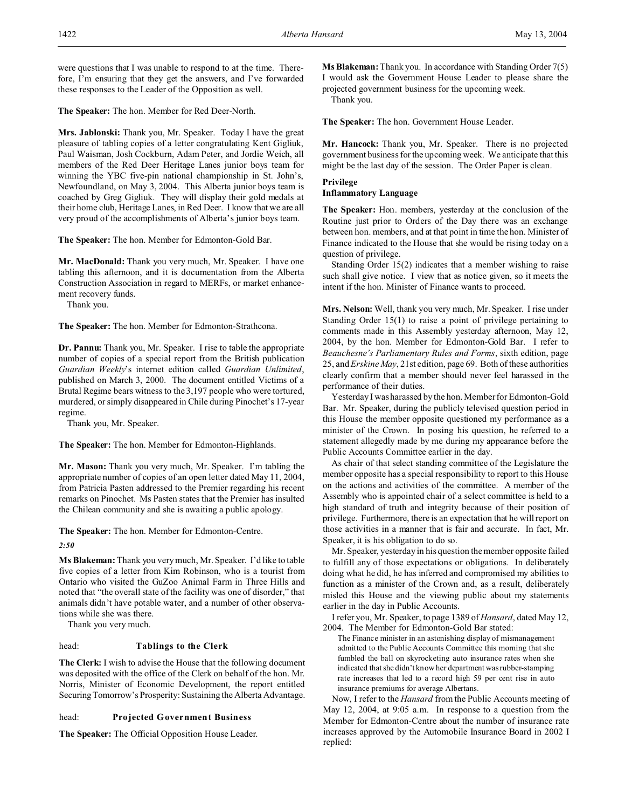were questions that I was unable to respond to at the time. Therefore, I'm ensuring that they get the answers, and I've forwarded these responses to the Leader of the Opposition as well.

**The Speaker:** The hon. Member for Red Deer-North.

**Mrs. Jablonski:** Thank you, Mr. Speaker. Today I have the great pleasure of tabling copies of a letter congratulating Kent Gigliuk, Paul Waisman, Josh Cockburn, Adam Peter, and Jordie Weich, all members of the Red Deer Heritage Lanes junior boys team for winning the YBC five-pin national championship in St. John's, Newfoundland, on May 3, 2004. This Alberta junior boys team is coached by Greg Gigliuk. They will display their gold medals at their home club, Heritage Lanes, in Red Deer. I know that we are all very proud of the accomplishments of Alberta's junior boys team.

**The Speaker:** The hon. Member for Edmonton-Gold Bar.

**Mr. MacDonald:** Thank you very much, Mr. Speaker. I have one tabling this afternoon, and it is documentation from the Alberta Construction Association in regard to MERFs, or market enhancement recovery funds.

Thank you.

**The Speaker:** The hon. Member for Edmonton-Strathcona.

**Dr. Pannu:** Thank you, Mr. Speaker. I rise to table the appropriate number of copies of a special report from the British publication *Guardian Weekly*'s internet edition called *Guardian Unlimited*, published on March 3, 2000. The document entitled Victims of a Brutal Regime bears witness to the 3,197 people who were tortured, murdered, or simply disappeared in Chile during Pinochet's 17-year regime.

Thank you, Mr. Speaker.

**The Speaker:** The hon. Member for Edmonton-Highlands.

**Mr. Mason:** Thank you very much, Mr. Speaker. I'm tabling the appropriate number of copies of an open letter dated May 11, 2004, from Patricia Pasten addressed to the Premier regarding his recent remarks on Pinochet. Ms Pasten states that the Premier has insulted the Chilean community and she is awaiting a public apology.

**The Speaker:** The hon. Member for Edmonton-Centre.

*2:50*

**Ms Blakeman:** Thank you very much, Mr. Speaker. I'd like to table five copies of a letter from Kim Robinson, who is a tourist from Ontario who visited the GuZoo Animal Farm in Three Hills and noted that "the overall state of the facility was one of disorder," that animals didn't have potable water, and a number of other observations while she was there.

Thank you very much.

## head: **Tablings to the Clerk**

**The Clerk:** I wish to advise the House that the following document was deposited with the office of the Clerk on behalf of the hon. Mr. Norris, Minister of Economic Development, the report entitled Securing Tomorrow's Prosperity: Sustaining the Alberta Advantage.

## head: **Projected Government Business**

**The Speaker:** The Official Opposition House Leader.

**Ms Blakeman:** Thank you. In accordance with Standing Order 7(5) I would ask the Government House Leader to please share the projected government business for the upcoming week.

Thank you.

**The Speaker:** The hon. Government House Leader.

**Mr. Hancock:** Thank you, Mr. Speaker. There is no projected government business for the upcoming week. We anticipate that this might be the last day of the session. The Order Paper is clean.

## **Privilege Inflammatory Language**

**The Speaker:** Hon. members, yesterday at the conclusion of the Routine just prior to Orders of the Day there was an exchange between hon. members, and at that point in time the hon. Minister of Finance indicated to the House that she would be rising today on a question of privilege.

Standing Order 15(2) indicates that a member wishing to raise such shall give notice. I view that as notice given, so it meets the intent if the hon. Minister of Finance wants to proceed.

**Mrs. Nelson:** Well, thank you very much, Mr. Speaker. I rise under Standing Order 15(1) to raise a point of privilege pertaining to comments made in this Assembly yesterday afternoon, May 12, 2004, by the hon. Member for Edmonton-Gold Bar. I refer to *Beauchesne's Parliamentary Rules and Forms*, sixth edition, page 25, and*Erskine May*, 21st edition, page 69. Both of these authorities clearly confirm that a member should never feel harassed in the performance of their duties.

Yesterday I was harassed by the hon. Member for Edmonton-Gold Bar. Mr. Speaker, during the publicly televised question period in this House the member opposite questioned my performance as a minister of the Crown. In posing his question, he referred to a statement allegedly made by me during my appearance before the Public Accounts Committee earlier in the day.

As chair of that select standing committee of the Legislature the member opposite has a special responsibility to report to this House on the actions and activities of the committee. A member of the Assembly who is appointed chair of a select committee is held to a high standard of truth and integrity because of their position of privilege. Furthermore, there is an expectation that he will report on those activities in a manner that is fair and accurate. In fact, Mr. Speaker, it is his obligation to do so.

Mr. Speaker, yesterday in his question the member opposite failed to fulfill any of those expectations or obligations. In deliberately doing what he did, he has inferred and compromised my abilities to function as a minister of the Crown and, as a result, deliberately misled this House and the viewing public about my statements earlier in the day in Public Accounts.

I refer you, Mr. Speaker, to page 1389 of *Hansard*, dated May 12, 2004. The Member for Edmonton-Gold Bar stated:

The Finance minister in an astonishing display of mismanagement admitted to the Public Accounts Committee this morning that she fumbled the ball on skyrocketing auto insurance rates when she indicated that she didn't know her department was rubber-stamping rate increases that led to a record high 59 per cent rise in auto insurance premiums for average Albertans.

Now, I refer to the *Hansard* from the Public Accounts meeting of May 12, 2004, at 9:05 a.m. In response to a question from the Member for Edmonton-Centre about the number of insurance rate increases approved by the Automobile Insurance Board in 2002 I replied: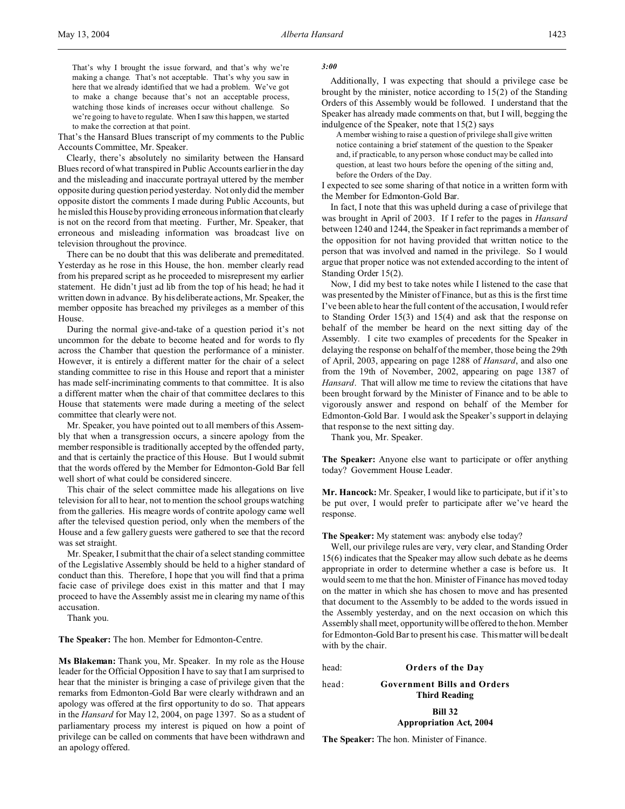That's the Hansard Blues transcript of my comments to the Public Accounts Committee, Mr. Speaker.

Clearly, there's absolutely no similarity between the Hansard Blues record of what transpired in Public Accounts earlier in the day and the misleading and inaccurate portrayal uttered by the member opposite during question period yesterday. Not only did the member opposite distort the comments I made during Public Accounts, but he misled this House by providing erroneous information that clearly is not on the record from that meeting. Further, Mr. Speaker, that erroneous and misleading information was broadcast live on television throughout the province.

There can be no doubt that this was deliberate and premeditated. Yesterday as he rose in this House, the hon. member clearly read from his prepared script as he proceeded to misrepresent my earlier statement. He didn't just ad lib from the top of his head; he had it written down in advance. By his deliberate actions, Mr. Speaker, the member opposite has breached my privileges as a member of this House.

During the normal give-and-take of a question period it's not uncommon for the debate to become heated and for words to fly across the Chamber that question the performance of a minister. However, it is entirely a different matter for the chair of a select standing committee to rise in this House and report that a minister has made self-incriminating comments to that committee. It is also a different matter when the chair of that committee declares to this House that statements were made during a meeting of the select committee that clearly were not.

Mr. Speaker, you have pointed out to all members of this Assembly that when a transgression occurs, a sincere apology from the member responsible is traditionally accepted by the offended party, and that is certainly the practice of this House. But I would submit that the words offered by the Member for Edmonton-Gold Bar fell well short of what could be considered sincere.

This chair of the select committee made his allegations on live television for all to hear, not to mention the school groups watching from the galleries. His meagre words of contrite apology came well after the televised question period, only when the members of the House and a few gallery guests were gathered to see that the record was set straight.

Mr. Speaker, I submit that the chair of a select standing committee of the Legislative Assembly should be held to a higher standard of conduct than this. Therefore, I hope that you will find that a prima facie case of privilege does exist in this matter and that I may proceed to have the Assembly assist me in clearing my name of this accusation.

Thank you.

**The Speaker:** The hon. Member for Edmonton-Centre.

**Ms Blakeman:** Thank you, Mr. Speaker. In my role as the House leader for the Official Opposition I have to say that I am surprised to hear that the minister is bringing a case of privilege given that the remarks from Edmonton-Gold Bar were clearly withdrawn and an apology was offered at the first opportunity to do so. That appears in the *Hansard* for May 12, 2004, on page 1397. So as a student of parliamentary process my interest is piqued on how a point of privilege can be called on comments that have been withdrawn and an apology offered.

#### *3:00*

Additionally, I was expecting that should a privilege case be brought by the minister, notice according to 15(2) of the Standing Orders of this Assembly would be followed. I understand that the Speaker has already made comments on that, but I will, begging the indulgence of the Speaker, note that 15(2) says

A member wishing to raise a question of privilege shall give written notice containing a brief statement of the question to the Speaker and, if practicable, to any person whose conduct may be called into question, at least two hours before the opening of the sitting and, before the Orders of the Day.

I expected to see some sharing of that notice in a written form with the Member for Edmonton-Gold Bar.

In fact, I note that this was upheld during a case of privilege that was brought in April of 2003. If I refer to the pages in *Hansard* between 1240 and 1244, the Speaker in fact reprimands a member of the opposition for not having provided that written notice to the person that was involved and named in the privilege. So I would argue that proper notice was not extended according to the intent of Standing Order 15(2).

Now, I did my best to take notes while I listened to the case that was presented by the Minister of Finance, but as this is the first time I've been able to hear the full content of the accusation, I would refer to Standing Order 15(3) and 15(4) and ask that the response on behalf of the member be heard on the next sitting day of the Assembly. I cite two examples of precedents for the Speaker in delaying the response on behalf of the member, those being the 29th of April, 2003, appearing on page 1288 of *Hansard*, and also one from the 19th of November, 2002, appearing on page 1387 of *Hansard*. That will allow me time to review the citations that have been brought forward by the Minister of Finance and to be able to vigorously answer and respond on behalf of the Member for Edmonton-Gold Bar. I would ask the Speaker's support in delaying that response to the next sitting day.

Thank you, Mr. Speaker.

**The Speaker:** Anyone else want to participate or offer anything today? Government House Leader.

**Mr. Hancock:** Mr. Speaker, I would like to participate, but if it's to be put over, I would prefer to participate after we've heard the response.

**The Speaker:** My statement was: anybody else today?

Well, our privilege rules are very, very clear, and Standing Order 15(6) indicates that the Speaker may allow such debate as he deems appropriate in order to determine whether a case is before us. It would seem to me that the hon. Minister of Finance has moved today on the matter in which she has chosen to move and has presented that document to the Assembly to be added to the words issued in the Assembly yesterday, and on the next occasion on which this Assembly shall meet, opportunity will be offered to the hon. Member for Edmonton-Gold Bar to present his case. This matter will be dealt with by the chair.

head: **Orders of the Day**

```
head: Government Bills and Orders
```
**Third Reading**

**Bill 32 Appropriation Act, 2004**

**The Speaker:** The hon. Minister of Finance.